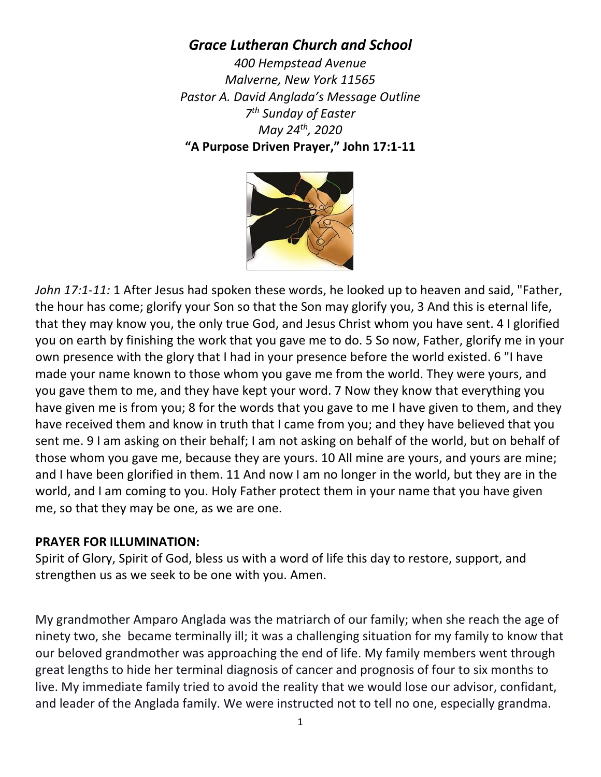## *Grace Lutheran Church and School*

*400 Hempstead Avenue Malverne, New York 11565 Pastor A. David Anglada's Message Outline 7th Sunday of Easter May 24th, 2020* **"A Purpose Driven Prayer," John 17:1-11**



*John 17:1-11:* 1 After Jesus had spoken these words, he looked up to heaven and said, "Father, the hour has come; glorify your Son so that the Son may glorify you, 3 And this is eternal life, that they may know you, the only true God, and Jesus Christ whom you have sent. 4 I glorified you on earth by finishing the work that you gave me to do. 5 So now, Father, glorify me in your own presence with the glory that I had in your presence before the world existed. 6 "I have made your name known to those whom you gave me from the world. They were yours, and you gave them to me, and they have kept your word. 7 Now they know that everything you have given me is from you; 8 for the words that you gave to me I have given to them, and they have received them and know in truth that I came from you; and they have believed that you sent me. 9 I am asking on their behalf; I am not asking on behalf of the world, but on behalf of those whom you gave me, because they are yours. 10 All mine are yours, and yours are mine; and I have been glorified in them. 11 And now I am no longer in the world, but they are in the world, and I am coming to you. Holy Father protect them in your name that you have given me, so that they may be one, as we are one.

## **PRAYER FOR ILLUMINATION:**

Spirit of Glory, Spirit of God, bless us with a word of life this day to restore, support, and strengthen us as we seek to be one with you. Amen.

My grandmother Amparo Anglada was the matriarch of our family; when she reach the age of ninety two, she became terminally ill; it was a challenging situation for my family to know that our beloved grandmother was approaching the end of life. My family members went through great lengths to hide her terminal diagnosis of cancer and prognosis of four to six months to live. My immediate family tried to avoid the reality that we would lose our advisor, confidant, and leader of the Anglada family. We were instructed not to tell no one, especially grandma.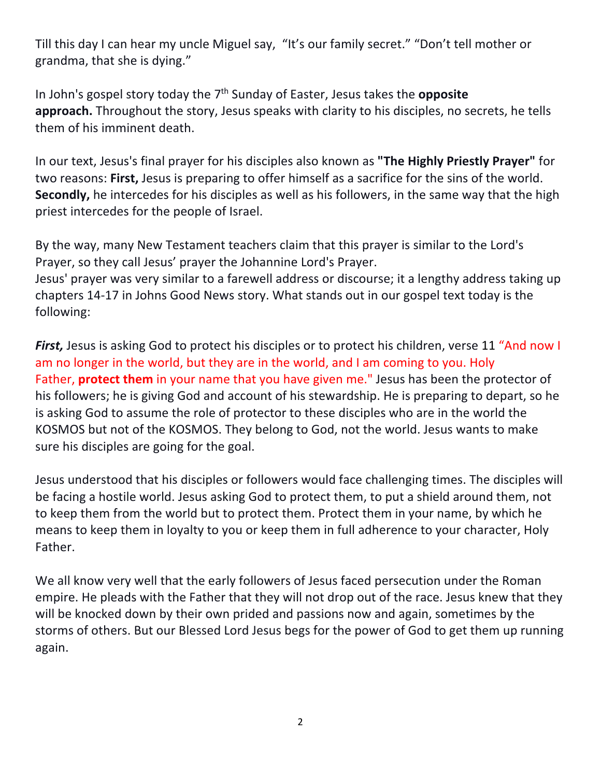Till this day I can hear my uncle Miguel say, "It's our family secret." "Don't tell mother or grandma, that she is dying."

In John's gospel story today the 7<sup>th</sup> Sunday of Easter, Jesus takes the **opposite approach.** Throughout the story, Jesus speaks with clarity to his disciples, no secrets, he tells them of his imminent death.

In our text, Jesus's final prayer for his disciples also known as **"The Highly Priestly Prayer"** for two reasons: **First,** Jesus is preparing to offer himself as a sacrifice for the sins of the world. **Secondly,** he intercedes for his disciples as well as his followers, in the same way that the high priest intercedes for the people of Israel.

By the way, many New Testament teachers claim that this prayer is similar to the Lord's Prayer, so they call Jesus' prayer the Johannine Lord's Prayer. Jesus' prayer was very similar to a farewell address or discourse; it a lengthy address taking up chapters 14-17 in Johns Good News story. What stands out in our gospel text today is the following:

*First*, Jesus is asking God to protect his disciples or to protect his children, verse 11 "And now I am no longer in the world, but they are in the world, and I am coming to you. Holy Father, **protect them** in your name that you have given me." Jesus has been the protector of his followers; he is giving God and account of his stewardship. He is preparing to depart, so he is asking God to assume the role of protector to these disciples who are in the world the KOSMOS but not of the KOSMOS. They belong to God, not the world. Jesus wants to make sure his disciples are going for the goal.

Jesus understood that his disciples or followers would face challenging times. The disciples will be facing a hostile world. Jesus asking God to protect them, to put a shield around them, not to keep them from the world but to protect them. Protect them in your name, by which he means to keep them in loyalty to you or keep them in full adherence to your character, Holy Father.

We all know very well that the early followers of Jesus faced persecution under the Roman empire. He pleads with the Father that they will not drop out of the race. Jesus knew that they will be knocked down by their own prided and passions now and again, sometimes by the storms of others. But our Blessed Lord Jesus begs for the power of God to get them up running again.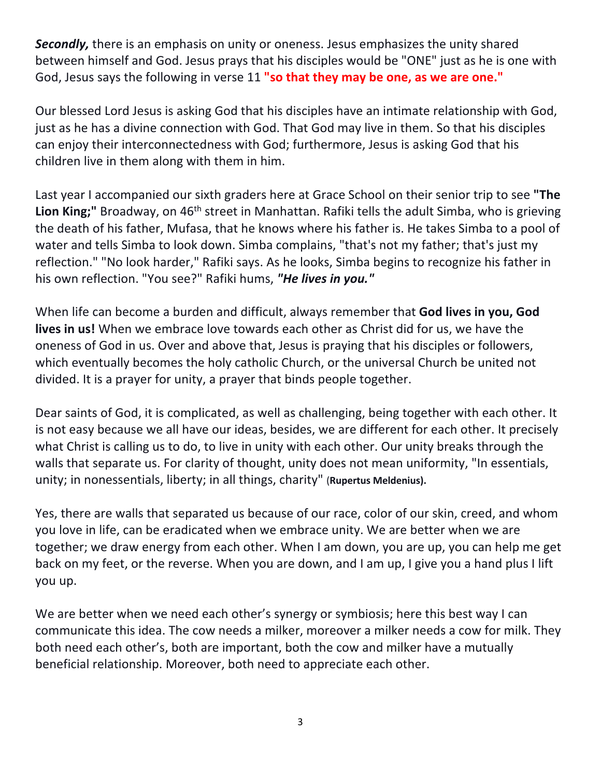*Secondly,* there is an emphasis on unity or oneness. Jesus emphasizes the unity shared between himself and God. Jesus prays that his disciples would be "ONE" just as he is one with God, Jesus says the following in verse 11 **"so that they may be one, as we are one."**

Our blessed Lord Jesus is asking God that his disciples have an intimate relationship with God, just as he has a divine connection with God. That God may live in them. So that his disciples can enjoy their interconnectedness with God; furthermore, Jesus is asking God that his children live in them along with them in him.

Last year I accompanied our sixth graders here at Grace School on their senior trip to see **"The**  Lion King;" Broadway, on 46<sup>th</sup> street in Manhattan. Rafiki tells the adult Simba, who is grieving the death of his father, Mufasa, that he knows where his father is. He takes Simba to a pool of water and tells Simba to look down. Simba complains, "that's not my father; that's just my reflection." "No look harder," Rafiki says. As he looks, Simba begins to recognize his father in his own reflection. "You see?" Rafiki hums, *"He lives in you."*

When life can become a burden and difficult, always remember that **God lives in you, God lives in us!** When we embrace love towards each other as Christ did for us, we have the oneness of God in us. Over and above that, Jesus is praying that his disciples or followers, which eventually becomes the holy catholic Church, or the universal Church be united not divided. It is a prayer for unity, a prayer that binds people together.

Dear saints of God, it is complicated, as well as challenging, being together with each other. It is not easy because we all have our ideas, besides, we are different for each other. It precisely what Christ is calling us to do, to live in unity with each other. Our unity breaks through the walls that separate us. For clarity of thought, unity does not mean uniformity, "In essentials, unity; in nonessentials, liberty; in all things, charity" (**Rupertus Meldenius).**

Yes, there are walls that separated us because of our race, color of our skin, creed, and whom you love in life, can be eradicated when we embrace unity. We are better when we are together; we draw energy from each other. When I am down, you are up, you can help me get back on my feet, or the reverse. When you are down, and I am up, I give you a hand plus I lift you up.

We are better when we need each other's synergy or symbiosis; here this best way I can communicate this idea. The cow needs a milker, moreover a milker needs a cow for milk. They both need each other's, both are important, both the cow and milker have a mutually beneficial relationship. Moreover, both need to appreciate each other.